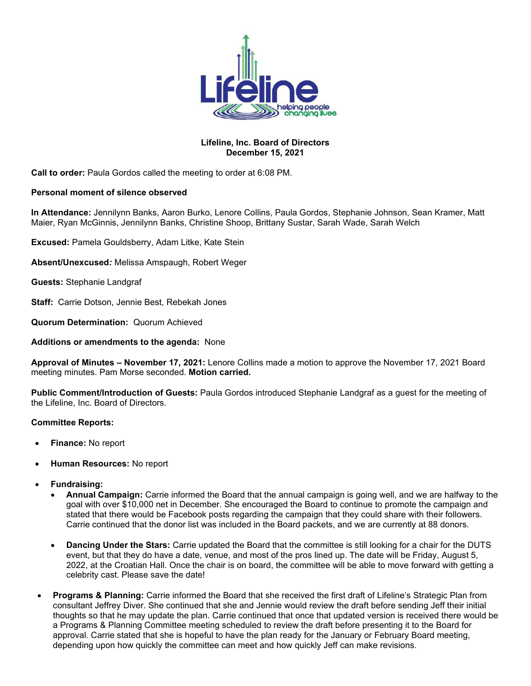

### **Lifeline, Inc. Board of Directors December 15, 2021**

**Call to order:** Paula Gordos called the meeting to order at 6:08 PM.

### **Personal moment of silence observed**

**In Attendance:** Jennilynn Banks, Aaron Burko, Lenore Collins, Paula Gordos, Stephanie Johnson, Sean Kramer, Matt Maier, Ryan McGinnis, Jennilynn Banks, Christine Shoop, Brittany Sustar, Sarah Wade, Sarah Welch

**Excused:** Pamela Gouldsberry, Adam Litke, Kate Stein

**Absent/Unexcused***:* Melissa Amspaugh, Robert Weger

**Guests:** Stephanie Landgraf

**Staff:** Carrie Dotson, Jennie Best, Rebekah Jones

**Quorum Determination:** Quorum Achieved

**Additions or amendments to the agenda:** None

**Approval of Minutes – November 17, 2021:** Lenore Collins made a motion to approve the November 17, 2021 Board meeting minutes. Pam Morse seconded. **Motion carried.** 

**Public Comment/Introduction of Guests:** Paula Gordos introduced Stephanie Landgraf as a guest for the meeting of the Lifeline, Inc. Board of Directors.

### **Committee Reports:**

- **Finance:** No report
- **Human Resources:** No report
- **Fundraising:**
	- **Annual Campaign:** Carrie informed the Board that the annual campaign is going well, and we are halfway to the goal with over \$10,000 net in December. She encouraged the Board to continue to promote the campaign and stated that there would be Facebook posts regarding the campaign that they could share with their followers. Carrie continued that the donor list was included in the Board packets, and we are currently at 88 donors.
	- **Dancing Under the Stars:** Carrie updated the Board that the committee is still looking for a chair for the DUTS event, but that they do have a date, venue, and most of the pros lined up. The date will be Friday, August 5, 2022, at the Croatian Hall. Once the chair is on board, the committee will be able to move forward with getting a celebrity cast. Please save the date!
- **Programs & Planning:** Carrie informed the Board that she received the first draft of Lifeline's Strategic Plan from consultant Jeffrey Diver. She continued that she and Jennie would review the draft before sending Jeff their initial thoughts so that he may update the plan. Carrie continued that once that updated version is received there would be a Programs & Planning Committee meeting scheduled to review the draft before presenting it to the Board for approval. Carrie stated that she is hopeful to have the plan ready for the January or February Board meeting, depending upon how quickly the committee can meet and how quickly Jeff can make revisions.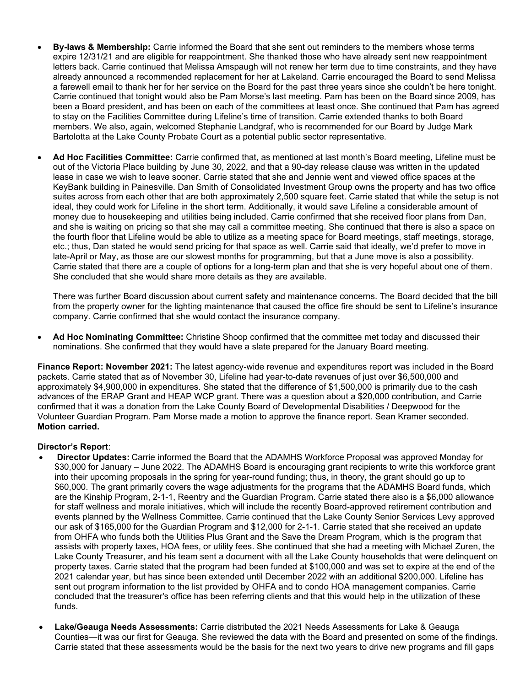- **By-laws & Membership:** Carrie informed the Board that she sent out reminders to the members whose terms expire 12/31/21 and are eligible for reappointment. She thanked those who have already sent new reappointment letters back. Carrie continued that Melissa Amspaugh will not renew her term due to time constraints, and they have already announced a recommended replacement for her at Lakeland. Carrie encouraged the Board to send Melissa a farewell email to thank her for her service on the Board for the past three years since she couldn't be here tonight. Carrie continued that tonight would also be Pam Morse's last meeting. Pam has been on the Board since 2009, has been a Board president, and has been on each of the committees at least once. She continued that Pam has agreed to stay on the Facilities Committee during Lifeline's time of transition. Carrie extended thanks to both Board members. We also, again, welcomed Stephanie Landgraf, who is recommended for our Board by Judge Mark Bartolotta at the Lake County Probate Court as a potential public sector representative.
- **Ad Hoc Facilities Committee:** Carrie confirmed that, as mentioned at last month's Board meeting, Lifeline must be out of the Victoria Place building by June 30, 2022, and that a 90-day release clause was written in the updated lease in case we wish to leave sooner. Carrie stated that she and Jennie went and viewed office spaces at the KeyBank building in Painesville. Dan Smith of Consolidated Investment Group owns the property and has two office suites across from each other that are both approximately 2,500 square feet. Carrie stated that while the setup is not ideal, they could work for Lifeline in the short term. Additionally, it would save Lifeline a considerable amount of money due to housekeeping and utilities being included. Carrie confirmed that she received floor plans from Dan, and she is waiting on pricing so that she may call a committee meeting. She continued that there is also a space on the fourth floor that Lifeline would be able to utilize as a meeting space for Board meetings, staff meetings, storage, etc.; thus, Dan stated he would send pricing for that space as well. Carrie said that ideally, we'd prefer to move in late-April or May, as those are our slowest months for programming, but that a June move is also a possibility. Carrie stated that there are a couple of options for a long-term plan and that she is very hopeful about one of them. She concluded that she would share more details as they are available.

There was further Board discussion about current safety and maintenance concerns. The Board decided that the bill from the property owner for the lighting maintenance that caused the office fire should be sent to Lifeline's insurance company. Carrie confirmed that she would contact the insurance company.

• **Ad Hoc Nominating Committee:** Christine Shoop confirmed that the committee met today and discussed their nominations. She confirmed that they would have a slate prepared for the January Board meeting.

**Finance Report: November 2021:** The latest agency-wide revenue and expenditures report was included in the Board packets. Carrie stated that as of November 30, Lifeline had year-to-date revenues of just over \$6,500,000 and approximately \$4,900,000 in expenditures. She stated that the difference of \$1,500,000 is primarily due to the cash advances of the ERAP Grant and HEAP WCP grant. There was a question about a \$20,000 contribution, and Carrie confirmed that it was a donation from the Lake County Board of Developmental Disabilities / Deepwood for the Volunteer Guardian Program. Pam Morse made a motion to approve the finance report. Sean Kramer seconded. **Motion carried.**

# **Director's Report**:

- **Director Updates:** Carrie informed the Board that the ADAMHS Workforce Proposal was approved Monday for \$30,000 for January – June 2022. The ADAMHS Board is encouraging grant recipients to write this workforce grant into their upcoming proposals in the spring for year-round funding; thus, in theory, the grant should go up to \$60,000. The grant primarily covers the wage adjustments for the programs that the ADAMHS Board funds, which are the Kinship Program, 2-1-1, Reentry and the Guardian Program. Carrie stated there also is a \$6,000 allowance for staff wellness and morale initiatives, which will include the recently Board-approved retirement contribution and events planned by the Wellness Committee. Carrie continued that the Lake County Senior Services Levy approved our ask of \$165,000 for the Guardian Program and \$12,000 for 2-1-1. Carrie stated that she received an update from OHFA who funds both the Utilities Plus Grant and the Save the Dream Program, which is the program that assists with property taxes, HOA fees, or utility fees. She continued that she had a meeting with Michael Zuren, the Lake County Treasurer, and his team sent a document with all the Lake County households that were delinquent on property taxes. Carrie stated that the program had been funded at \$100,000 and was set to expire at the end of the 2021 calendar year, but has since been extended until December 2022 with an additional \$200,000. Lifeline has sent out program information to the list provided by OHFA and to condo HOA management companies. Carrie concluded that the treasurer's office has been referring clients and that this would help in the utilization of these funds.
- **Lake/Geauga Needs Assessments:** Carrie distributed the 2021 Needs Assessments for Lake & Geauga Counties—it was our first for Geauga. She reviewed the data with the Board and presented on some of the findings. Carrie stated that these assessments would be the basis for the next two years to drive new programs and fill gaps